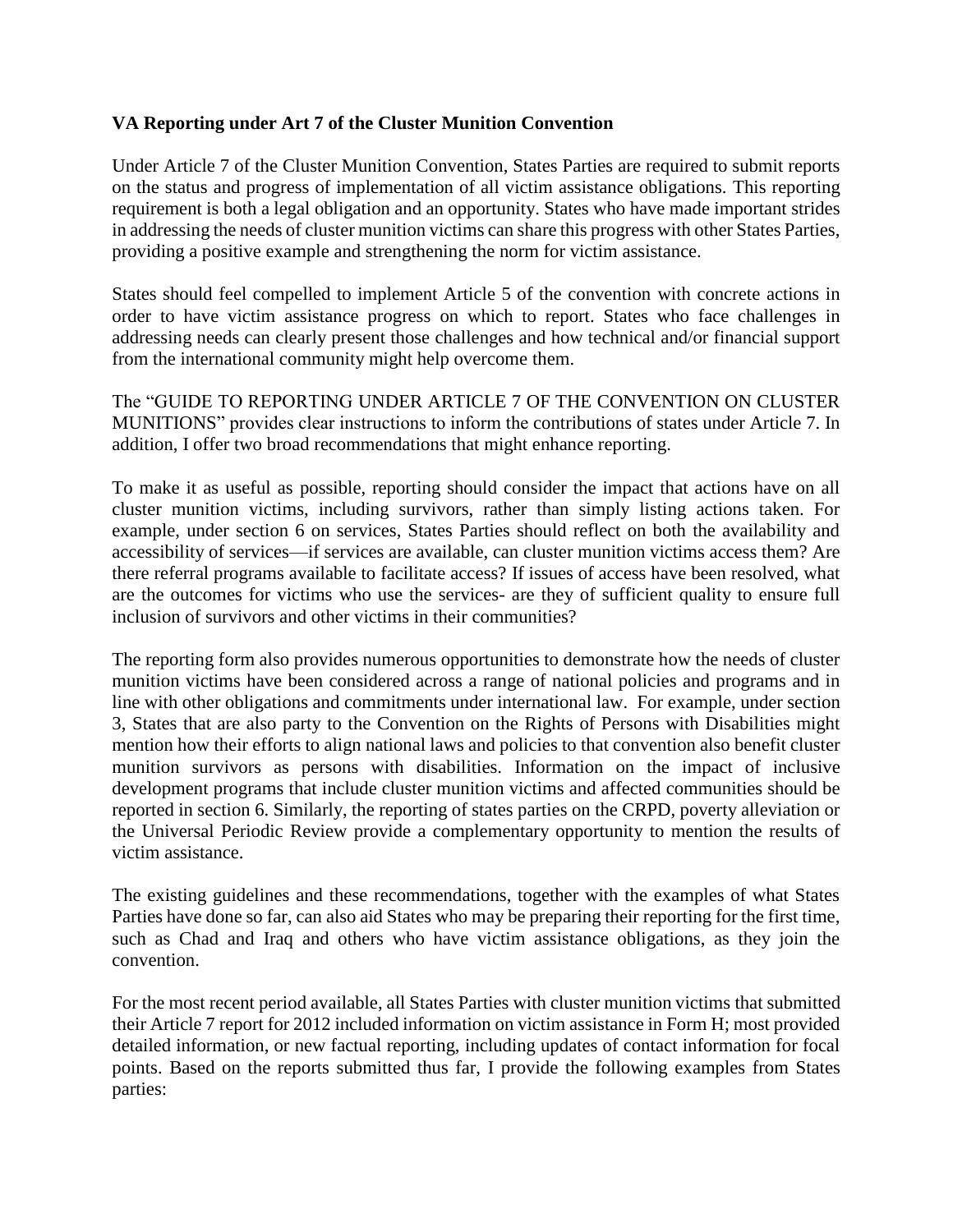## **VA Reporting under Art 7 of the Cluster Munition Convention**

Under Article 7 of the Cluster Munition Convention, States Parties are required to submit reports on the status and progress of implementation of all victim assistance obligations. This reporting requirement is both a legal obligation and an opportunity. States who have made important strides in addressing the needs of cluster munition victims can share this progress with other States Parties, providing a positive example and strengthening the norm for victim assistance.

States should feel compelled to implement Article 5 of the convention with concrete actions in order to have victim assistance progress on which to report. States who face challenges in addressing needs can clearly present those challenges and how technical and/or financial support from the international community might help overcome them.

The "GUIDE TO REPORTING UNDER ARTICLE 7 OF THE CONVENTION ON CLUSTER MUNITIONS" provides clear instructions to inform the contributions of states under Article 7. In addition, I offer two broad recommendations that might enhance reporting.

To make it as useful as possible, reporting should consider the impact that actions have on all cluster munition victims, including survivors, rather than simply listing actions taken. For example, under section 6 on services, States Parties should reflect on both the availability and accessibility of services—if services are available, can cluster munition victims access them? Are there referral programs available to facilitate access? If issues of access have been resolved, what are the outcomes for victims who use the services- are they of sufficient quality to ensure full inclusion of survivors and other victims in their communities?

The reporting form also provides numerous opportunities to demonstrate how the needs of cluster munition victims have been considered across a range of national policies and programs and in line with other obligations and commitments under international law. For example, under section 3, States that are also party to the Convention on the Rights of Persons with Disabilities might mention how their efforts to align national laws and policies to that convention also benefit cluster munition survivors as persons with disabilities. Information on the impact of inclusive development programs that include cluster munition victims and affected communities should be reported in section 6. Similarly, the reporting of states parties on the CRPD, poverty alleviation or the Universal Periodic Review provide a complementary opportunity to mention the results of victim assistance.

The existing guidelines and these recommendations, together with the examples of what States Parties have done so far, can also aid States who may be preparing their reporting for the first time, such as Chad and Iraq and others who have victim assistance obligations, as they join the convention.

For the most recent period available, all States Parties with cluster munition victims that submitted their Article 7 report for 2012 included information on victim assistance in Form H; most provided detailed information, or new factual reporting, including updates of contact information for focal points. Based on the reports submitted thus far, I provide the following examples from States parties: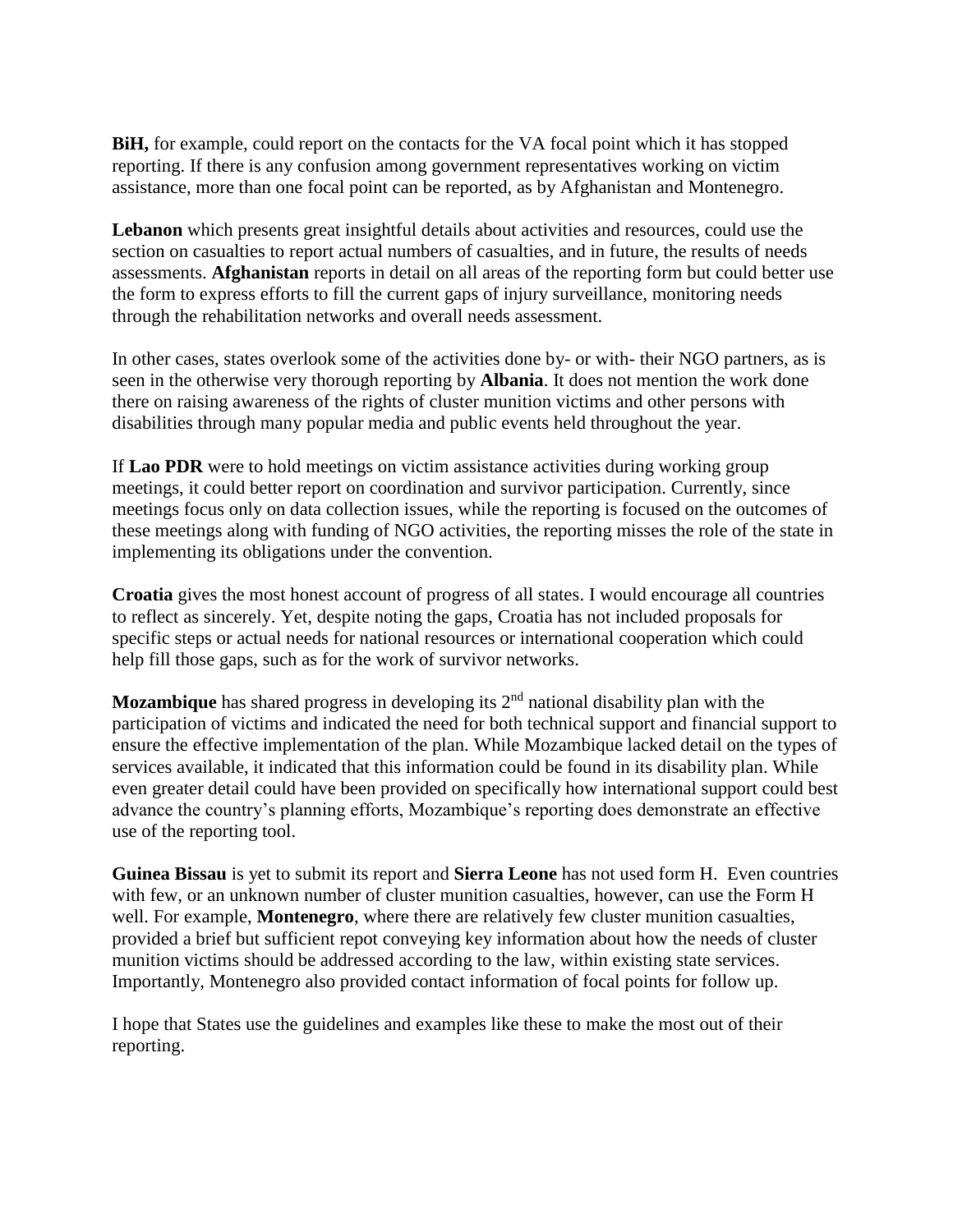**BiH,** for example, could report on the contacts for the VA focal point which it has stopped reporting. If there is any confusion among government representatives working on victim assistance, more than one focal point can be reported, as by Afghanistan and Montenegro.

**Lebanon** which presents great insightful details about activities and resources, could use the section on casualties to report actual numbers of casualties, and in future, the results of needs assessments. **Afghanistan** reports in detail on all areas of the reporting form but could better use the form to express efforts to fill the current gaps of injury surveillance, monitoring needs through the rehabilitation networks and overall needs assessment.

In other cases, states overlook some of the activities done by- or with- their NGO partners, as is seen in the otherwise very thorough reporting by **Albania**. It does not mention the work done there on raising awareness of the rights of cluster munition victims and other persons with disabilities through many popular media and public events held throughout the year.

If **Lao PDR** were to hold meetings on victim assistance activities during working group meetings, it could better report on coordination and survivor participation. Currently, since meetings focus only on data collection issues, while the reporting is focused on the outcomes of these meetings along with funding of NGO activities, the reporting misses the role of the state in implementing its obligations under the convention.

**Croatia** gives the most honest account of progress of all states. I would encourage all countries to reflect as sincerely. Yet, despite noting the gaps, Croatia has not included proposals for specific steps or actual needs for national resources or international cooperation which could help fill those gaps, such as for the work of survivor networks.

**Mozambique** has shared progress in developing its 2<sup>nd</sup> national disability plan with the participation of victims and indicated the need for both technical support and financial support to ensure the effective implementation of the plan. While Mozambique lacked detail on the types of services available, it indicated that this information could be found in its disability plan. While even greater detail could have been provided on specifically how international support could best advance the country's planning efforts, Mozambique's reporting does demonstrate an effective use of the reporting tool.

**Guinea Bissau** is yet to submit its report and **Sierra Leone** has not used form H. Even countries with few, or an unknown number of cluster munition casualties, however, can use the Form H well. For example, **Montenegro**, where there are relatively few cluster munition casualties, provided a brief but sufficient repot conveying key information about how the needs of cluster munition victims should be addressed according to the law, within existing state services. Importantly, Montenegro also provided contact information of focal points for follow up.

I hope that States use the guidelines and examples like these to make the most out of their reporting.